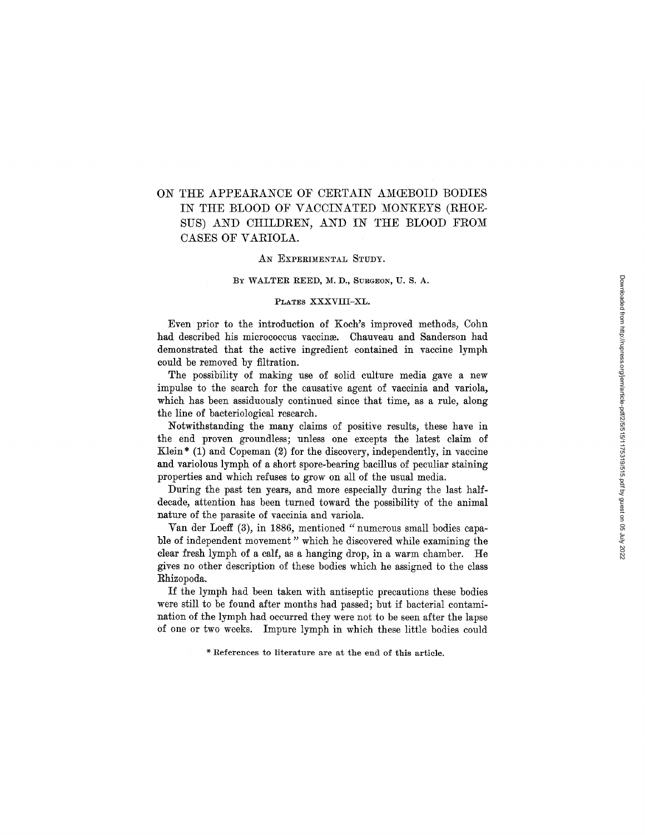# ON THE APPEARANCE OF CERTAIN AMŒBOID BODIES IN THE BLOOD OF VACCINATED MONKEYS (RHOE-SUS) AND CHILDREN, AND IN THE BLOOD FROM CASES OF VARIOLA.

### AN EXPERIMENTAL STUDY.

#### BY WALTER REED, M. D., SURGEON, U. S. A.

### PLATES XXXVIII-XL.

Even prior to the introduction of Koch's improved methods, Cohn had described his micrococcus vaccinæ. Chauveau and Sanderson had demonstrated that the active ingredient contained in vaccine lymph could be removed by filtration.

The possibility of making use of solid culture media gave a new impulse to the search for the causative agent of vaccinia and variola, which has been assiduously continued since that time, as a rule, along the line of bacteriological research.

Notwithstanding the many claims of positive results, these have in the end proven groundless; unless one excepts the latest claim of Klein<sup>\*</sup> (1) and Copeman  $(2)$  for the discovery, independently, in vaccine and variolous lymph of a short spore-bearing bacillus of peculiar staining properties and which refuses to grow on all of the usual media.

During the past ten years, and more especially during the last halfdecade, attention has been turned toward the possibility of the animal nature of the parasite of vaccinia and variola.

Van der Loeff (3), in 1886, mentioned *"numerous* small bodies capable of independent movement" which he discovered while examining the clear fresh lymph of a calf, as a hanging drop, in a warm chamber. He gives no other description of these bodies which he assigned to the class Rhizopoda.

If the lymph had been taken with antiseptic precautions these bodies were still to be found after months had passed; but if bacterial contamination of the lymph had occurred they were not to be seen after the lapse of one or two weeks. Impure lymph in which these little bodies could

\* References to literature are at the end of this article.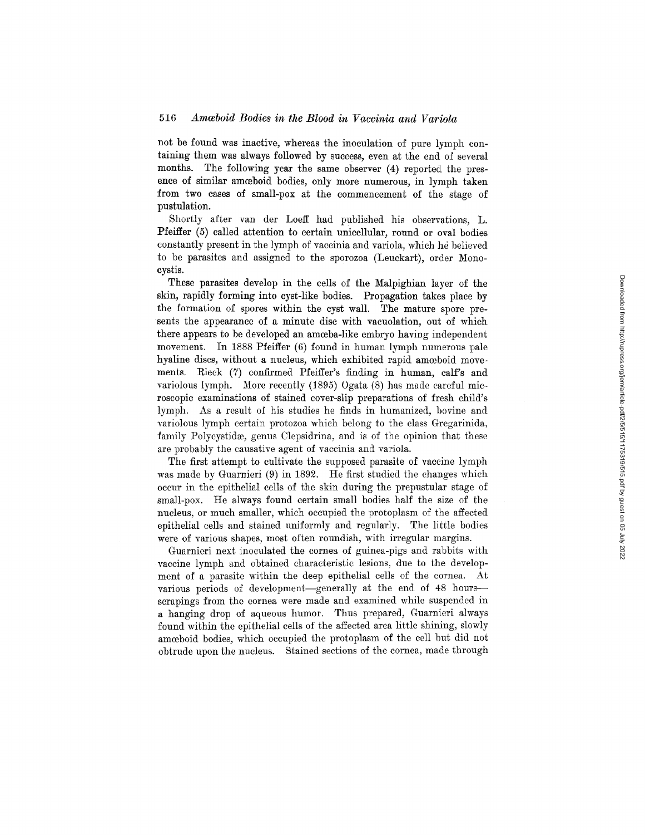not be found was inactive, whereas the inoculation of pure lymph containing them was always followed by success, even at the end of several months. The following year the same observer (4) reported the presence of similar amoeboid bodies, only more numerous, in lymph taken from two cases of small-pox at the commencement of the stage of pustulation.

Shortly after van der Loeff had published his observations, L. Pfeiffer (5) called attention to certain unicellular, round or oval bodies constantly present in the lymph of vaccinia and variola, which he believed to be parasites and assigned to the sporozoa (Leuckart), order Monocystis.

These parasites develop in the cells of the Malpighian layer of the skin, rapidly forming into cyst-like bodies. Propagation takes place by the formation of spores within the cyst wall. The mature spore presents the appearance of a minute disc with vacuolation, out of which there appears to be developed an amoeba-like embryo having independent movement. In 1888 Pfeiffer (6) found in human lymph numerous pale hyaline discs, without a nucleus, which exhibited rapid amoeboid movements. Rieck (7) confirmed Pfeiffer's finding in human, calf's and variolous lymph. More recently (1895) Ogata (8) has made careful mic- roscopic examinations of stained cover-slip preparations of fresh child's lymph. As a result of his studies he finds in humanized, bovine and variolous lymph certain protozoa which belong to the class Gregarinida, family Polycystidæ, genus Clepsidrina, and is of the opinion that these are probably the causative agent of vaccinia and variola.

The first attempt to cultivate the supposed parasite of vaccine lymph was made by Guarnieri (9) in 1892. He first studied the changes which occur in the epithelial cells of the skin during the prepustular stage of small-pox. He always found certain small bodies half the size of the nucleus, or much smaller, which occupied the protoplasm of the affected epithelial cells and stained uniformly and regularly. The little bodies were of various shapes, most often roundish, with irregular margins.

Guarnieri next inoculated the cornea of guinea-pigs and rabbits with vaccine lymph and obtained characteristic lesions, due to the development of a parasite within the deep epithelial cells of the cornea. At various periods of development-generally at the end of 48 hoursscrapings from the cornea were made and examined while suspended in a hanging drop of aqueous humor. Thus prepared, Guarnieri always found within the epithelial cells of the affected area little shining, slowly amoeboid bodies, which occupied the protoplasm of the cell but did not obtrude upon the nucleus. Stained sections of the cornea, made through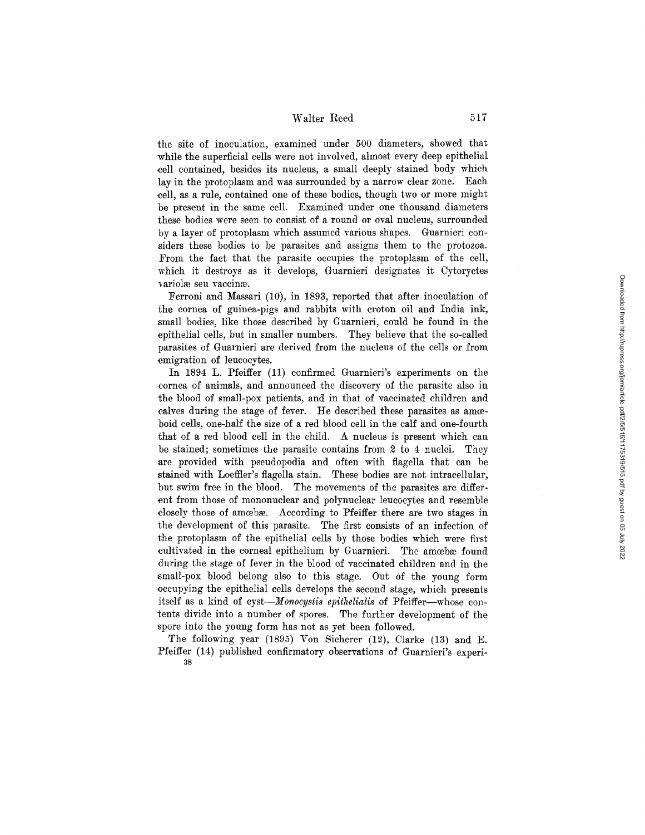the site of inoculation, examined under 500 diameters, showed that while the superficial cells were not involved, almost every deep epithelial cell contained, besides its nucleus, a small deeply stained body which lay in the protoplasm and was surrounded by a narrow clear zone. Each cell, as a rule, contained one of these bodies, though two or more might be present in the same cell. Examined under one thousand diameters these bodies were seen to consist of a round or oval nucleus, surrounded by a layer of protoplasm which assumed various shapes. Guarnieri considers these bodies to be parasites and assigns them to the protozoa. From the fact that the parasite occupies the protoplasm of the cell, which it destroys as it develops, Guarnieri designates it Cytoryctes variolæ seu vaccinæ.

Ferroni and Massari (10), in 1893, reported that after inoculation of the cornea of guinea-pigs and rabbits with croton oil and India ink, small bodies, like those described by Guarnieri, could be found in the epithelial cells, but in smaller numbers. They believe that the so-called parasites of Guarnieri are derived from the nucleus of the cells or from emigration of leucocytes.

In 1894 L. Pfeiffer (11) confirmed Guarnieri's experiments on the cornea of animals, and announced the discovery of the parasite also in the blood of small-pox patients, and in that of vaccinated children and calves during the stage of fever. He described these parasites as amoeboid cells, one-half the size of a red blood cell in the calf and one-fourth that of a red blood cell in the child. A nucleus is present which can be stained; sometimes the parasite contains from 2 to 4 nuclei. They are provided with pseudopodia and often with flagella that can be stained with Loeffier's flagella stain. These bodies are not intracellular, but swim free in the blood. The movements of the parasites are different from those of mononuclear and polynuclear leucocytes and resemble closely those of amcebæ. According to Pfeiffer there are two stages in the development of this parasite. The first consists of an infection of the protoplasm of the epithelial cells by those bodies which were first cultivated in the corneal epithelium by Guarnieri. The amoebæ found during the stage of fever in the blood of vaccinated children and in the small-pox blood belong also to this stage. Out of the young form occupying the epithelial cells develops the second stage, which presents itself as a kind of cyst—*Monocystis epithelialis* of Pfeiffer—whose contents divide into a number of spores. The further development of the spore into the young form has not as yet been followed.

The following year (1895) Von Sicherer (12), Clarke (13) and E. Pfeiffer (14) published confirmatory observations of Guarnieri's experi-38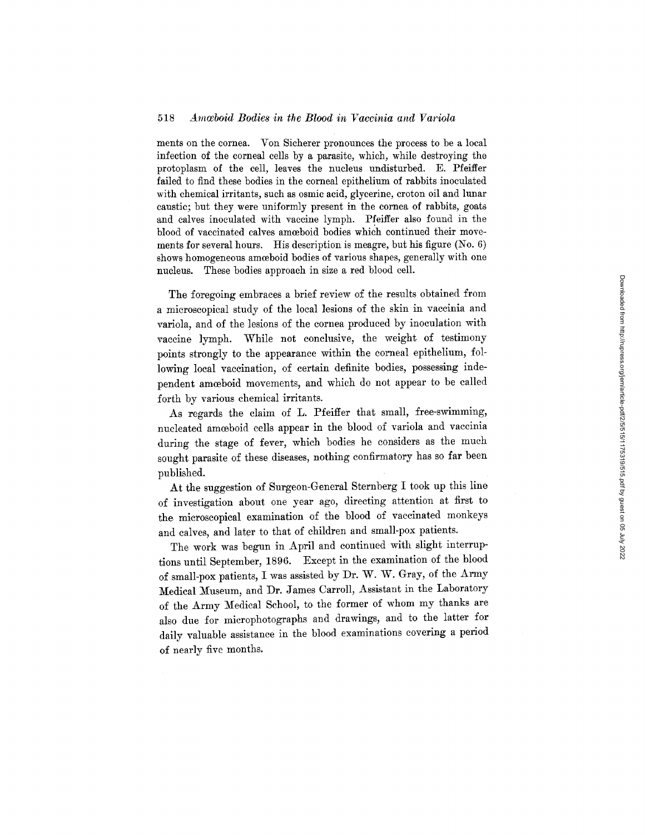ments on the cornea. Von Sicherer pronounces the process to be a local infection of the corneal cells by a parasite, which, while destroying the protoplasm of the cell, leaves the nucleus undisturbed. E. Pfeiffer failed to find these bodies in the corneal epithelium of rabbits inoculated with chemical irritants, such as osmic acid, glycerine, croton oil and lunar caustic; but they were uniformly present in the cornea of rabbits, goats and calves inoculated with vaccine lymph. Pfeiffer also found in the blood of vaccinated calves amoeboid bodies which continued their movements for several hours. His description is meagre, but his figure (No. 6) shows homogeneous amoeboid bodies of various shapes, generally with one nucleus. These bodies approach in size a red blood cell.

The foregoing embraces a brief review of the results obtained from a microscopical study of the local lesions of the skin in vaccinia and variola, and of the lesions of the cornea produced by inoculation with vaccine lymph. While not conclusive, the weight of testimony points strongly to the appearance within the corneal epithelium, following local vaccination, of certain definite bodies, possessing independent amœboid movements, and which do not appear to be called forth by various chemical irritants.

As regards the claim of L. Pfeiffer that small, free-swimming, nucleated amoeboid cells appear in the blood of variola and vaccinia during the stage of fever, which bodies he considers as the much sought parasite of these diseases, nothing confirmatory has so far been published.

At the suggestion of Surgeon-General Sternberg I took up this line of investigation about one year ago, directing attention at first to the microscopical examination of the blood of vaccinated monkeys and calves, and later to that of children and small-pox patients.

The work was begun in April and continued with slight interruptions until September, 1896. Except in the examination of the blood of small-pox patients, I was assisted by Dr. W. W. Gray, of the Army Medical Museum, and Dr. James Carroll, Assistant in the Laboratory of the Army Medical School, to the former of whom my thanks are also due for microphotographs and drawings, and to the latter for daily valuable assistance in the blood examinations covering a period of nearly five months.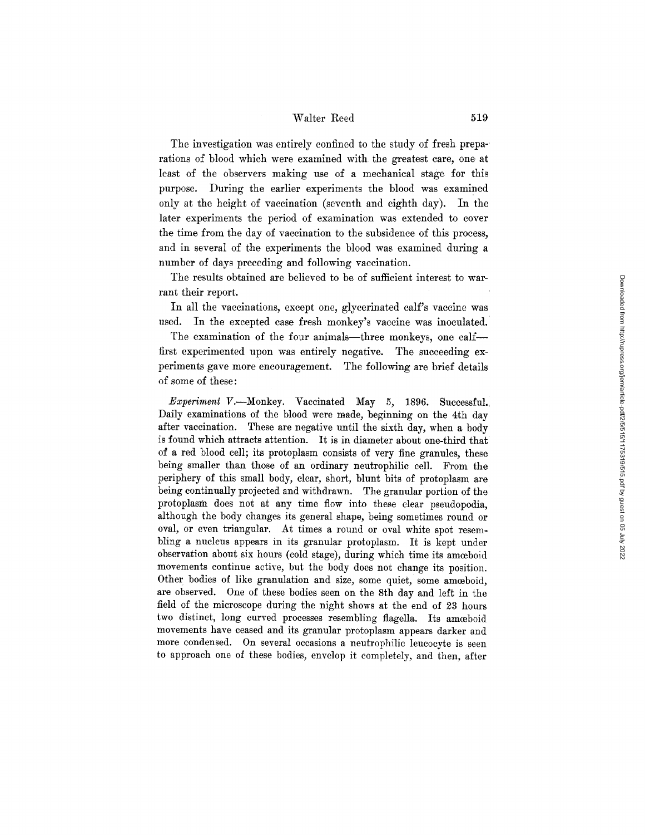The investigation was entirely confined to the study of fresh preparations of blood which were examined with the greatest care, one at least of the observers making use of a mechanical stage for this purpose. During the earlier experiments the blood was examined only at the height of vaccination (seventh and eighth day). In the later experiments the period of examination was extended to cover the time from the day of vaccination to the subsidence of this process, and in several of the experiments the blood was examined during a number of days preceding and following vaccination.

The results obtained are believed to be of sufficient interest to warrant their report.

In all the vaccinations, except one, glycerinated calf's vaccine was used. In the excepted case fresh monkey's vaccine was inoculated.

The examination of the four animals-three monkeys, one calffirst experimented upon was entirely negative. The succeeding experiments gave more encouragement. The following are brief details of some of these:

*Experiment* V.--Monkey. Vaccinated May 5, 1896. Successful. Daily examinations of the blood were made, beginning on the 4th day after vaccination. These are negative until the sixth day, when a body is found which attracts attention. It is in diameter about one-third that of a red blood cell; its protoplasm consists of very fine granules, these being smaller than those of an ordinary neutrophilic cell. From the periphery of this small body, clear, short, blunt bits of protoplasm are being continually projected and withdrawn. The granular portion of the protoplasm does not at any time flow into these clear pseudopodia, although the body changes its general shape, being sometimes round or oval, or even triangular. At times a round or oval white spot resembling a nucleus appears in its granular protoplasm. It is kept under observation about six hours (cold stage), during which time its amoeboid movements continue active, but the body does not change its position. Other bodies of like granulation and size, some quiet, some amoeboid, are observed. One of these bodies seen on the 8th day and left in the field of the microscope during the night shows at the end of 23 hours two distinct, long curved processes resembling flagella. Its amoeboid movements have ceased and its granular protoplasm appears darker and more condensed. On several occasions a neutrophilic leucocyte is seen to approach one of these bodies, envelop it completely, and then, after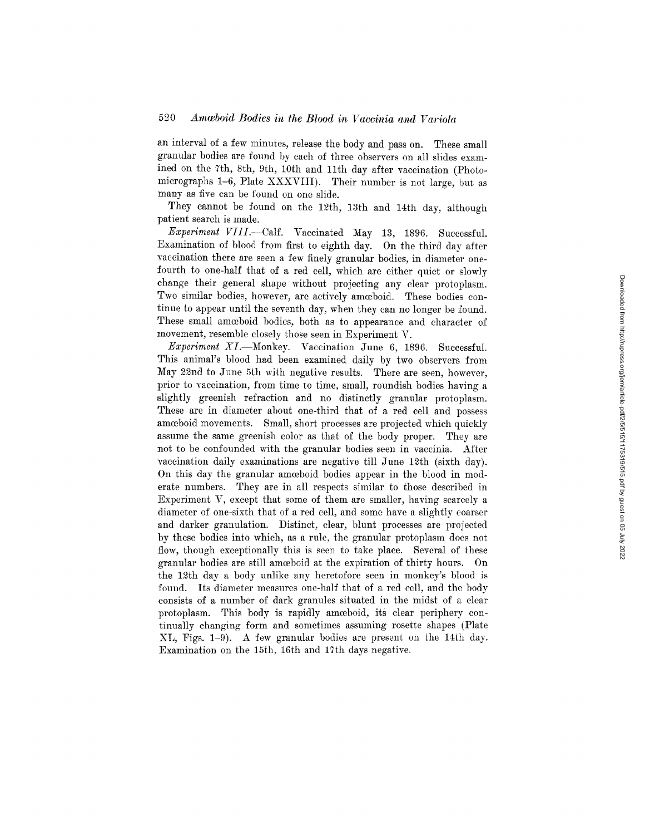an interval of a few minutes, release the body and pass on. These small granular bodies are found by each of three observers on all slides examined on the 7th, 8th, 9th, 10th and 11th day after vaccination (Photomicrographs 1-6, Plate XXXVIII). Their number is not large, but as many as five can be found on one slide.

They cannot be found on the 12th, 13th and 14th day, although patient search is made.

*Experiment* VI//.--Calf. Vaccinated May 13, 1896. Successful. Examination of blood from first to eighth day. On the third day after vaccination there are seen a few finely granular bodies, in diameter onefourth to one-half that of a red cell, which are either quiet or slowly change their general shape without projecting any clear protoplasm. Two similar bodies, however, are actively amoeboid. These bodies continue to appear until the seventh day, when they can no longer be found. These small amceboid bodies, both as to appearance and character of movement, resemble closely those seen in Experiment V.

*Experiment XI.*—Monkey. Vaccination June 6, 1896. Successful. This animal's blood had been examined daily by two observers from May 22nd to June 5th with negative results. There are seen, however, prior to vaccination, from time to time, small, roundish bodies having a slightly greenish refraction and no distinctly granular protoplasm. These are in diameter about one-third that of a red cell and possess amorboid movements. Small, short processes are projected which quickly assume the same greenish color as that of the body proper. They are not to be confounded with the granular bodies seen in vaccinia. After vaccination daily examinations are negative till June 12th (sixth day). On this day the granular amoeboid bodies appear in the blood in moderate numbers. They are in all respects similar to those described in Experiment V, except that some of them are smaller, having scarcely a diameter of one-sixth that of a red cell, and some have a slightly coarser and darker granulation. Distinct, clear, blunt processes are projected by these bodies into which, as a rule, the granular protoplasm does not flow, though exceptionally this is seen to take place. Several of these granular bodies are still amceboid at the expiration of thirty hours. On the 12th day a body unlike any heretofore seen in monkey's blood is found. Its diameter measures one-half that of a red cell, and the body consists of a number of dark granules situated in the midst of a clear protoplasm. This body is rapidly amoeboid, its clear periphery con tinually changing form and sometimes assuming rosette shapes (Plate XL, Figs. 1-9). A few granular bodies are present on the 14th day. Examination on the 15th, 16th and 17th days negative.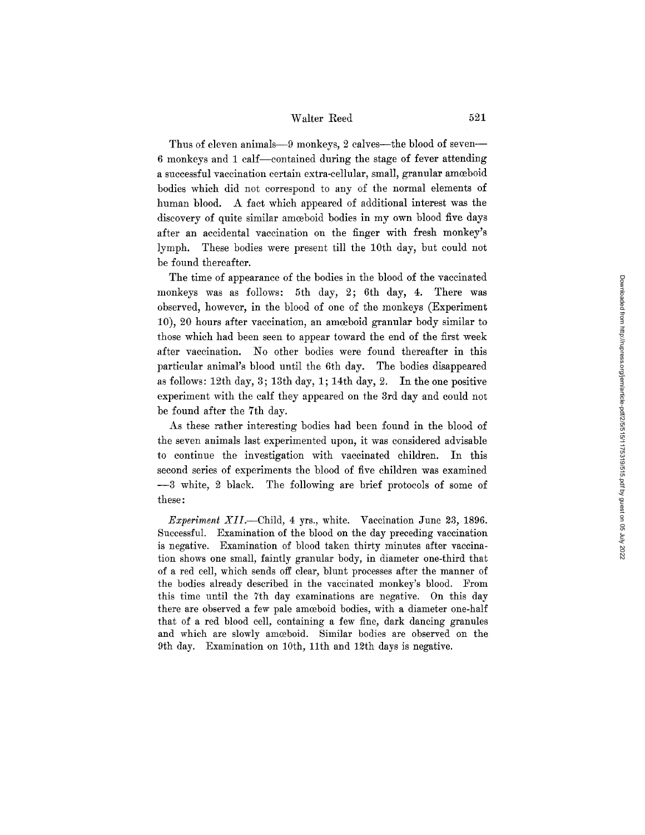Thus of eleven animals-9 monkeys, 2 calves--the blood of seven--6 monkeys and 1 calf--contained during the stage of fever attending a successful vaccination certain extra-cellular, small, granular amoeboid bodies which did not correspond to any of the normal elements of human blood. A fact which appeared of additional interest was the discovery of quite similar amoeboid bodies in my own blood five days after an accidental vaccination on the finger with fresh monkey's lymph. These bodies were present till the 10th day, but could not be found thereafter.

The time of appearance of the bodies in the blood of the vaccinated monkeys was as follows: 5th day, 2; 6th day, 4. There was observed, however, in the blood of one of the monkeys (Experiment 10), 20 hours after vaccination, an amoeboid granular body similar to those which had been seen to appear toward the end of the first week after vaccination. No other bodies were found thereafter in this particular animal's blood until the 6th day. The bodies disappeared as follows: 12th day, 3; 13th day, 1; 14th day, 2. In the one positive experiment with the calf they appeared on the 3rd day and could not be found after the 7th day.

As these rather interesting bodies had been found in the blood of the seven animals last experimented upon, it was considered advisable to continue the investigation with vaccinated children. In this second series of experiments the blood of five children was examined --3 white, 2 black. The following are brief protocols of some of these:

*Experiment XII.*—Child, 4 yrs., white. Vaccination June 23, 1896. Successful. Examination of the blood on the day preceding vaccination is negative. Examination of blood taken thirty minutes after vaccination shows one small, faintly granular body, in diameter one-third that of a red cell, which sends off clear, blunt processes after the manner of the bodies already described in the vaccinated monkey's blood. From this time until the 7th day examinations are negative. On this day there are observed a few pale amoeboid bodies, with a diameter one-half that of a red blood cell, containing a few fine, dark dancing granules and which are slowly amoeboid. Similar bodies are observed on the 9th day. Examination on 10th, llth and 12th days is negative.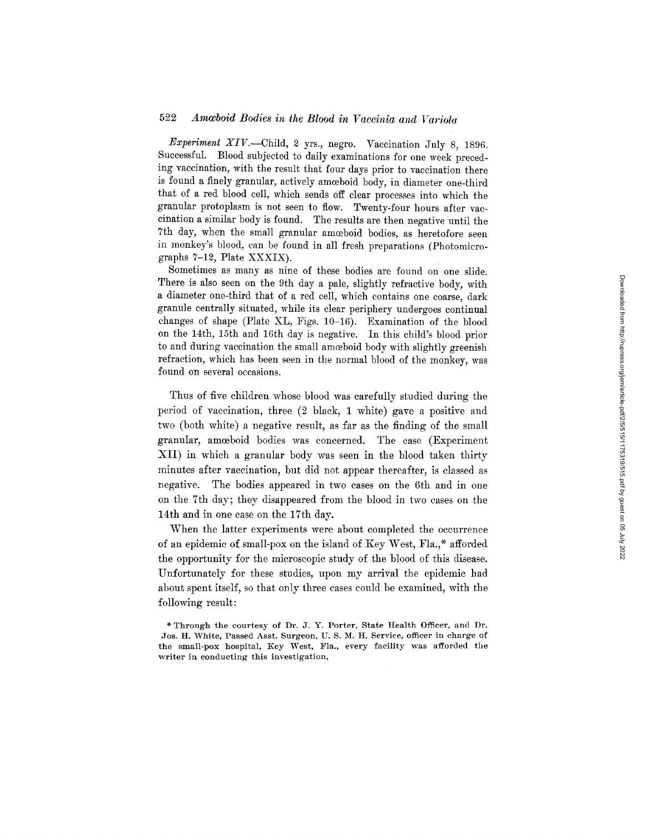## 522 Amæboid Bodies in the Blood in Vaccinia and Variola

*Experiment XIV.--Child,* 2 yrs., negro. Vaccination July 8, 1896. Successful. Blood subjected to daily examinations for one week preceding vaccination, with the result that four days prior to vaccination there is found a finely granular, actively amoeboid body, in diameter one-third that of a red blood cell, which sends off clear processes into which the granular protoplasm is not seen to flow. Twenty-four hours after vaccination a similar body is found. The results are then negative until the 7th day, when the small granular amoeboid bodies, as heretofore seen in monkey's blood, can be found in all fresh preparations (Photomicrographs 7-12, Plate XXXIX).

Sometimes as many as nine of these bodies are found on one slide. There is also seen on the 9th day a pale, slightly refractive body, with a diameter one-third that of a red cell, which contains one coarse, dark granule centrally situated, while its clear periphery undergoes continual changes of shape (Plate XL, Figs. 10-16). Examination of the blood on the 14th, 15th and 16th day is negative. In this child's blood prior to and during vaccination the small amoeboid body with slightly greenish refraction, which has been seen in the normal blood of the monkey, was found on several occasions.

Thus of five children whose blood was carefully studied during the period of vaccination, three (2 black, 1 white) gave a positive and two (both white) a negative result, as far as the finding of the small granular, amoeboid bodies was concerned. The case (Experiment XII) in which a granular body was seen in the blood taken thirty minutes after vaccination, but did not appear thereafter, is classed as negative. The bodies appeared in two cases on the 6th and in one on the 7th day; they disappeared from the blood in two cases on the 14th and in one case on the 17th day.

When the latter experiments were about completed the occurrence of an epidemic of small-pox on the island of Key West, Fla.,\* afforded the opportunity for the mieroseopie study of the blood of this disease. Unfortunately for these studies, upon my arrival the epidemic had about spent itself, so that only three eases could be examined, with the following result:

Through the courtesy of Dr. J. Y. Porter, State Health Officer, and Dr. Jos. H. White, Passed Asst. Surgeon, U. S. M. H. Service, officer in charge of the small-pox hospital, Key West, Fla., every facility was afforded the writer in conducting this investigation,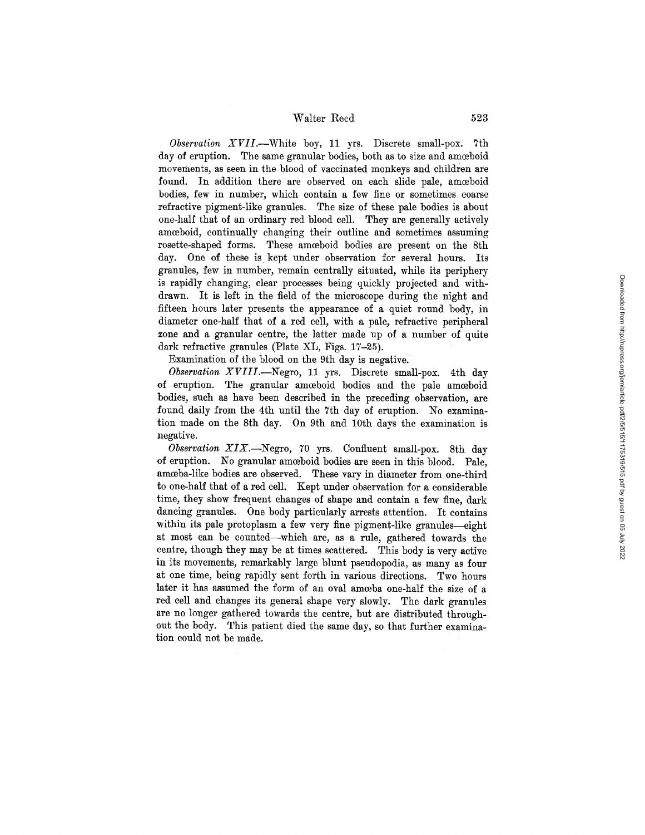*Observation XVII.--White* boy, 11 yrs. Discrete small-pox. 7th day of eruption. The same granular bodies, both as to size and amoeboid movements, as seen in the blood of vaccinated monkeys and children are found. In addition there are observed on each slide pale, amoeboid bodies, few in number, which contain a few fine or sometimes coarse refractive pigment-like granules. The size of these pale bodies is about one-half that of an ordinary red blood cell. They are generally actively amoeboid, continually changing their outline and sometimes assuming rosette-shaped forms. These amoeboid bodies are present on the 8th day. One of these is kept under observation for several hours. Its granules, few in number, remain centrally situated, while its periphery is rapidly changing, clear processes being quickly projected and withdrawn. It is left in the field of the microscope during the night and fifteen hours later presents the appearance of a quiet round body, in diameter one-half that of a red cell, with a pale, refractive peripheral zone and a granular centre, the latter made up of a number of quite dark refractive granules (Plate XL, Figs. 17-25).

Examination of the blood on the 9th day is negative.

*Observation XVIII.---Negro,* 11 yrs. Discrete small-pox. 4th day of eruption. The granular amœboid bodies and the pale amœboid bodies, such as have been described in the preceding observation, are found daily from the 4th until the 7th day of eruption. No examination made on the 8th day. On 9th and 10th days the examination is negative.

*Observation XIX.--Negro,* 70 yrs. Confluent small-pox. 8th day of eruption. No granular amoeboid bodies are seen in this blood. Pale, amoeba-like bodies are observed. These vary in diameter from one-third to one-half that of a red cell. Kept under observation for a considerable time, they show frequent changes of shape and contain a few fine, dark dancing granules. One body particularly arrests attention. It contains within its pale protoplasm a few very fine pigment-like granules-eight at most can be counted--which are, as a rule, gathered towards the centre, though they may be at times scattered. This body is very active in its movements, remarkably large blunt pseudopodia, as many as four at one time, being rapidly sent forth in various directions. Two hours later it has assumed the form of an oval amoeba one-half the size of a red cell and changes its general shape very slowly. The dark granules are no longer gathered towards the centre, but are distributed throughout the body. This patient died the same day, so that further examination could not be made.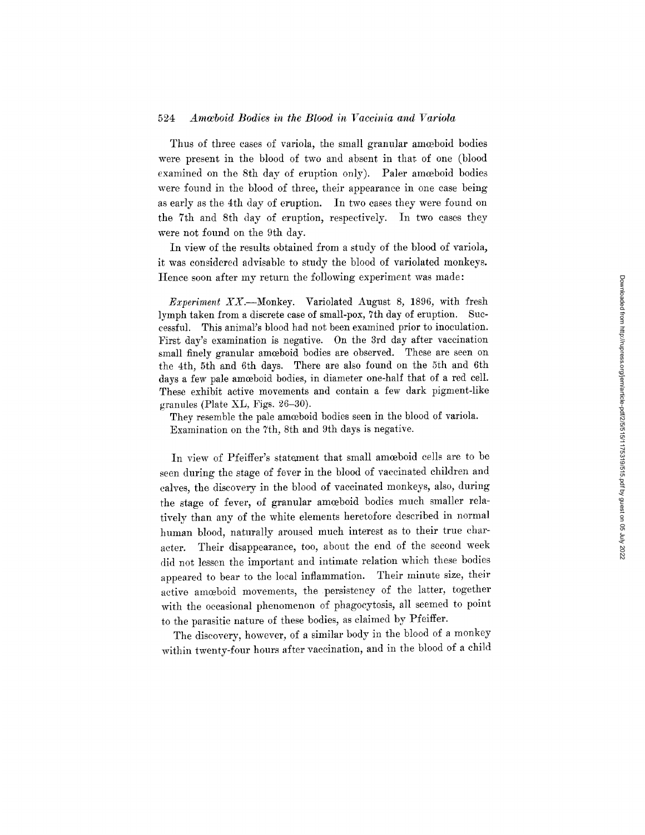## 524 Amacboid Bodies in the Blood in Vaccinia and Variola

Thus of three cases of variola, the small granular amoeboid bodies were present in the blood of two and absent in that of one (blood examined on the 8th day of eruption only). Paler amoeboid bodies were found in the blood of three, their appearance in one ease being as early as the 4th day of eruption. In two eases they were found on the 7th and 8th day of eruption, respectively. In two eases they were not found on the 9th day.

In view of the results obtained from a study of the blood of variola, it was considered advisable to study the blood of variolated monkeys. Hence soon after my return the following experiment was made:

*Experiment* XX.--Monkey. Variolated August 8, 1896, with fresh lymph taken from a discrete case of small-pox, 7th day of eruption. Suceessful. This animal's blood had not been examined prior to inoculation. First day's examination is negative. On the 3rd day after vaccination small finely granular amoeboid bodies are observed. These are seen on the 4th, 5th and 6th days. There are also found on the 5th and 6th days a few pale amoeboid bodies, in diameter one-half that of a red cell. These exhibit active movements and contain a few dark pigment-like granules (Plate XL, Figs. 26-30).

They resemble the pale amceboid bodies seen in the blood of variola. Examination on the 7th, 8th and 9th days is negative.

In view of Pfeiffer's statement that small amoeboid cells are to be seen during the stage of fever in the blood of vaeeinated children and calves, the diseovery in the blood of vaccinated monkeys, also, during the stage of fever, of granular amoeboid bodies much smaller relatively than any of the white elements heretofore described in normal human blood, naturally aroused much interest as to their true charaeter. Their disappearance, too, about the end of the second week did not lessen the important and intimate relation which these bodies appeared to bear to the local inflammation. Their minute size, their active amoeboid movements, the persistency of the latter, together with the oceasional phenomenon of phagoeytosis, all seemed to point to the parasitic nature of these bodies, as claimed by Pfeiffer.

The discovery, however, of a similar body in the blood of a monkey within twenty-four hours after vaeeination, and in the blood of a ehild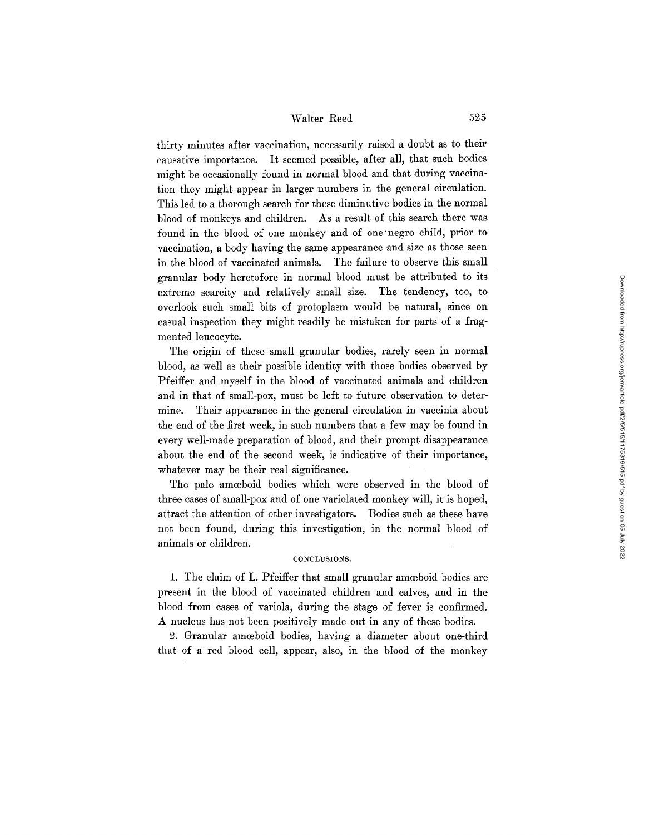thirty minutes after vaccination, necessarily raised a doubt as to their causative importance. It seemed possible, after all, that such bodies might be occasionally found in normal blood and that during vaccination they might appear in larger numbers in the general circulation. This led to a thorough search for these diminutive bodies in the normal blood of monkeys and children. As a result of this search there was found in the blood of one monkey and of one negro child, prior to vaccination, a body having the same appearance and size as those seen in the blood of vaccinated animals. The failure to observe this small granular body heretofore in normal blood must be attributed to its extreme scarcity and relatively small size. The tendency, too, to overlook such small bits of protoplasm would be natural, since on casual inspection they might readily be mistaken for parts of a fragmented leucocyte.

The origin of these small granular bodies, rarely seen in normal blood, as well as their possible identity with those bodies observed by Pfeiffer and myself in the blood of vaccinated animals and children and in that of small-pox, must be left to future observation to determine. Their appearance in the general circulation in vaccinia about the end of the first week, in such numbers that a few may be found in every well-made preparation of blood, and their prompt disappearance about the end of the second week, is indicative of their importance, whatever may be their real significance.

The pale amoeboid bodies which were observed in the blood of three cases of small-pox and of one variolated monkey will, it is hoped, attract the attention of other investigators. Bodies such as these have not been found, during this investigation, in the normal blood of animals or children.

#### CONCLUSIONS.

1. The claim of L. Pfeiffer that small granular amceboid bodies are present in the blood of vaccinated children and calves, and in the blood from eases of variola, during the stage of fever is confirmed. A nucleus has not been positively made out in any of these bodies.

2. Granular amoeboid bodies, having a diameter about one-third that of a red blood cell, appear, also, in the blood of the monkey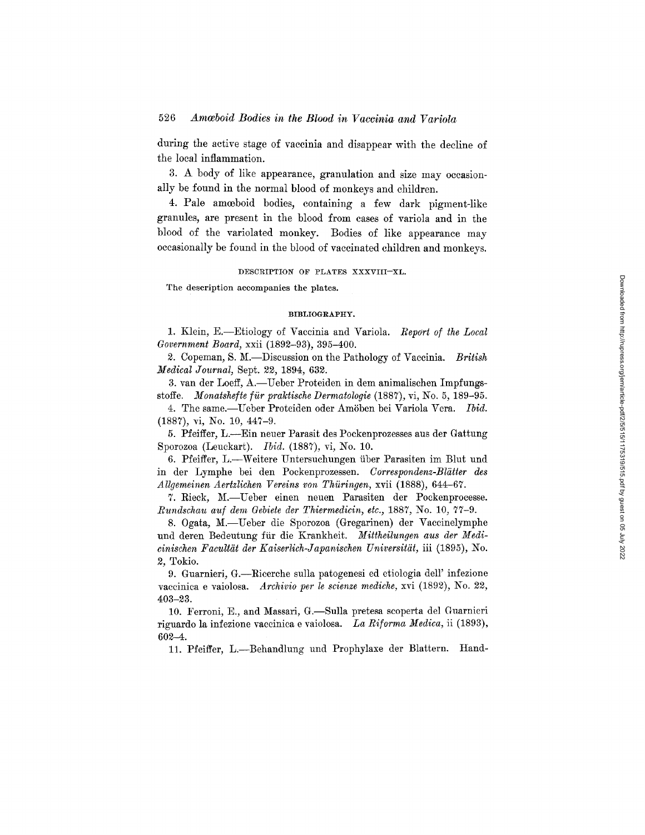during the active stage of vaccinia and disappear with the decline of the local inflammation.

3. A body of like appearance, granulation and size may occasionally be found in the normal blood of monkeys and children.

4. Pale amceboid bodies, containing a few dark pigment-like granules, are present in the blood from cases of variola and in the blood of the variolated monkey. Bodies of like appearance may occasionally be found in the blood of vaccinated children and monkeys.

### DESCRIPTION OF PLATES XXXVIII-XL.

The description accompanies the plates.

### BIBLIOGRAPHY.

1. Klein, E.--Etiology of Vaccinia and Variola. *Report of the Local Government Board,* xxii (1892-93), 395-400.

2. Copeman, S. M.-Discussion on the Pathology of Vaccinia. *British Medical Journal,* Sept. 22, 1894, 632.

3. van der Loeff, A.--Ueber Proteiden in dem animalischen Impfungsstoffe. *Monatshefte für praktische Dermatologie* (1887), vi, No. 5, 189-95.

4. The same.--Ueber Proteiden oder Amöben bei Variola Vera. Ibid. (1887), vi, No. 10, 447-9.

5. Pfeiffer, L.--Ein neuer Parasit des Pockenprozesses aus der Gattung Sporozoa (Lenckart). *Ibid.* (1887), vi, No. 10.

6. Pfeiffer, L.--Weitere Untersuchungen über Parasiten im Blut und in der Lymphe bei den Pockenprozessen. *Correspondenz-B15tter des Allgemeinen Aertzlichen Vereins yon Thiiringen,* xvii (1888), 644--67.

7. Rieek, M.--Ueber einen neuen Parasiten der Pockenprocesse. *Rundschau auf dem Gebiete der Thiermedicin, etc.,* 1887, No. 10, 77-9.

8. 0gata, M.--Ueber die Sporozoa (Gregarinen) der Vaccinelymphe und deren Bedeutung für die Krankheit. Mittheilungen aus der Medi*cinischen FacultSt der Kaiserlich-Japanischen Universit~it,* iii (1895), No. *2,* Tokio.

9. Guarnieri, G.--Ricerche sulla patogenesi ed etiologia dell' infezione vaccinica e vaiolosa. *Archivio per le scienze mediche*, xvi (1892), No. 22, 403-23.

10. Ferroni, E., and Massari, G.--Sulla pretesa scoperta del Guarnieri riguardo la infezione vacciniea e vaiolosa. *La Riforma Medica,* ii (1893), 602-4.

11. Pfeiffer, L.-Behandlung und Prophylaxe der Blattern. Hand-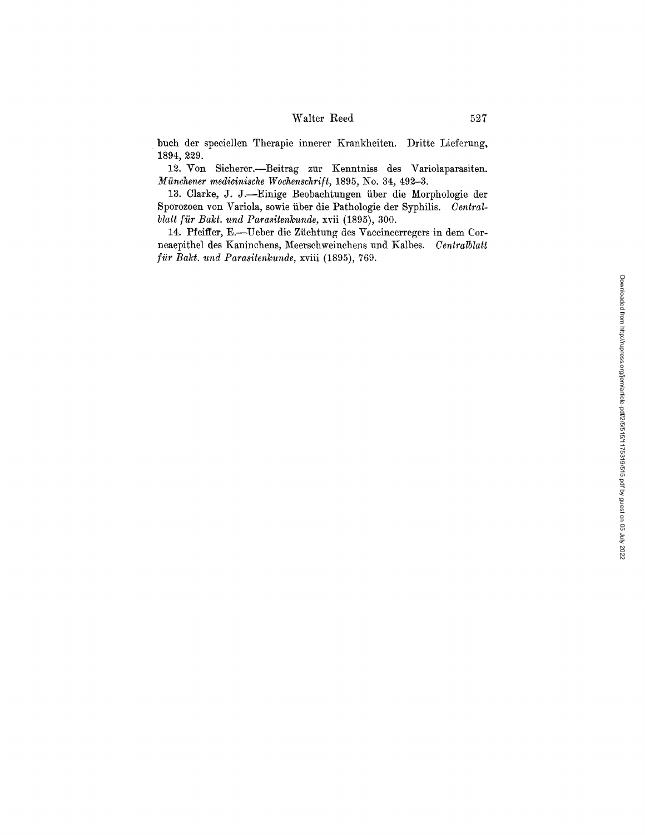## $\begin{tabular}{cc} Water \textbf{Red} & & 527 \end{tabular}$

buch der speciellen Therapie innerer Krankheiten. Dritte Lieferung, 1894, 229.

12. Voa Sicherer.--Beitrag zur Kenntniss des Variolaparasiten. *Münchener medicinische Wochenschrift, 1895, No. 34, 492-3.* 

13. Clarke, J. J.--Einige Beobachtungen fiber die Morphologie der Sporozoen yon Yariola, sowie iiber die Pathologie der Syphilis. *Centralblatt für Bakt. und Parasitenkunde, xvii (1895), 300.* 

14. Pfeiffer, E.-Ueber die Züchtung des Vaccineerregers in dem Corneaepithel des Kaninchens, Meerschweinchens und Kalbes. *Centralblatt für Bakt. und Parasitenkunde, xviii (1895), 769.*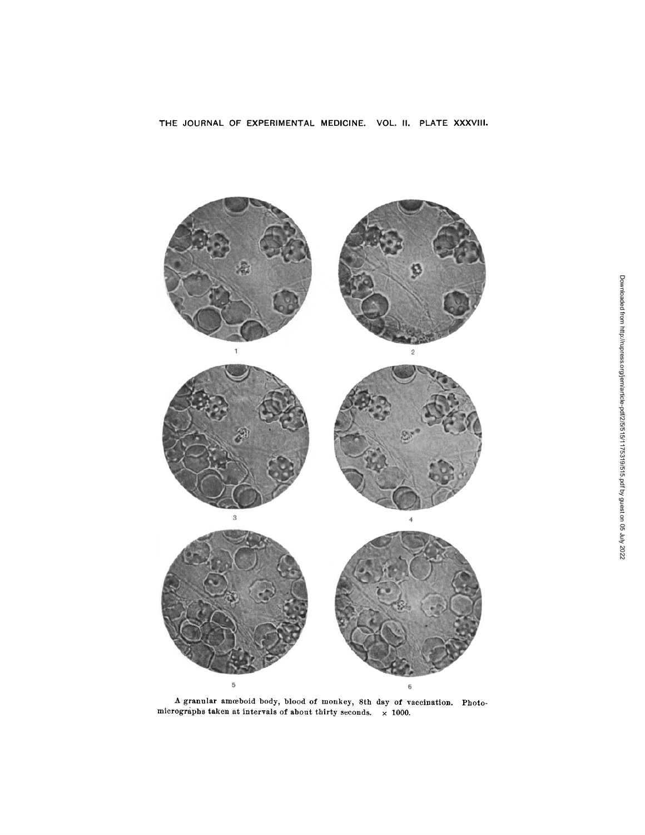

A granular amoeboid body, blood of monkey, 8th day of vaccination. Photomicrographs taken at intervals of about thirty seconds,  $\times$  1000.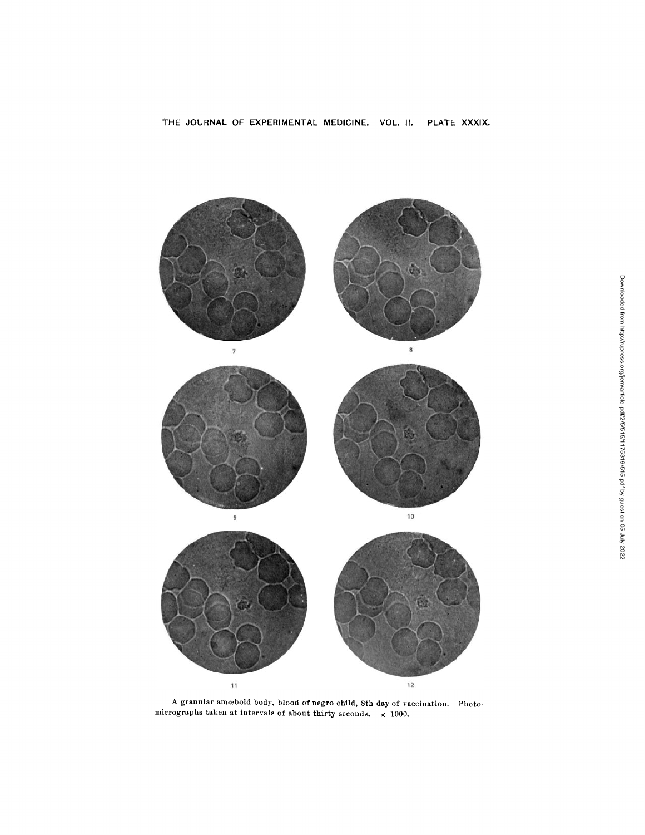

A granular amoeboid body, blood o£ negro child, 8th day of vaccination. Photomicrographs taken at intervals of about thirty seconds,  $\times$  1000.